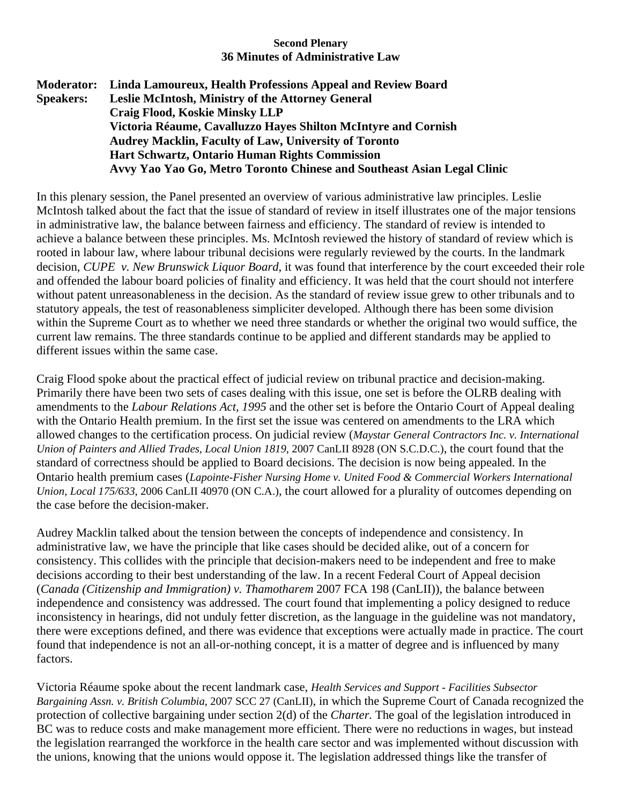## **Second Plenary 36 Minutes of Administrative Law**

**Moderator: Linda Lamoureux, Health Professions Appeal and Review Board Speakers: Leslie McIntosh, Ministry of the Attorney General Craig Flood, Koskie Minsky LLP Victoria Réaume, Cavalluzzo Hayes Shilton McIntyre and Cornish Audrey Macklin, Faculty of Law, University of Toronto Hart Schwartz, Ontario Human Rights Commission Avvy Yao Yao Go, Metro Toronto Chinese and Southeast Asian Legal Clinic** 

In this plenary session, the Panel presented an overview of various administrative law principles. Leslie McIntosh talked about the fact that the issue of standard of review in itself illustrates one of the major tensions in administrative law, the balance between fairness and efficiency. The standard of review is intended to achieve a balance between these principles. Ms. McIntosh reviewed the history of standard of review which is rooted in labour law, where labour tribunal decisions were regularly reviewed by the courts. In the landmark decision, *CUPE v. New Brunswick Liquor Board*, it was found that interference by the court exceeded their role and offended the labour board policies of finality and efficiency. It was held that the court should not interfere without patent unreasonableness in the decision. As the standard of review issue grew to other tribunals and to statutory appeals, the test of reasonableness simpliciter developed. Although there has been some division within the Supreme Court as to whether we need three standards or whether the original two would suffice, the current law remains. The three standards continue to be applied and different standards may be applied to different issues within the same case.

Craig Flood spoke about the practical effect of judicial review on tribunal practice and decision-making. Primarily there have been two sets of cases dealing with this issue, one set is before the OLRB dealing with amendments to the *Labour Relations Act, 1995* and the other set is before the Ontario Court of Appeal dealing with the Ontario Health premium. In the first set the issue was centered on amendments to the LRA which allowed changes to the certification process. On judicial review (*Maystar General Contractors Inc. v. International Union of Painters and Allied Trades, Local Union 1819*, 2007 CanLII 8928 (ON S.C.D.C.), the court found that the standard of correctness should be applied to Board decisions. The decision is now being appealed. In the Ontario health premium cases (*Lapointe-Fisher Nursing Home v. United Food & Commercial Workers International Union, Local 175/633*, 2006 CanLII 40970 (ON C.A.), the court allowed for a plurality of outcomes depending on the case before the decision-maker.

Audrey Macklin talked about the tension between the concepts of independence and consistency. In administrative law, we have the principle that like cases should be decided alike, out of a concern for consistency. This collides with the principle that decision-makers need to be independent and free to make decisions according to their best understanding of the law. In a recent Federal Court of Appeal decision (*Canada (Citizenship and Immigration) v. Thamotharem* 2007 FCA 198 (CanLII)), the balance between independence and consistency was addressed. The court found that implementing a policy designed to reduce inconsistency in hearings, did not unduly fetter discretion, as the language in the guideline was not mandatory, there were exceptions defined, and there was evidence that exceptions were actually made in practice. The court found that independence is not an all-or-nothing concept, it is a matter of degree and is influenced by many factors.

Victoria Réaume spoke about the recent landmark case, *Health Services and Support - Facilities Subsector Bargaining Assn. v. British Columbia*, 2007 SCC 27 (CanLII), in which the Supreme Court of Canada recognized the protection of collective bargaining under section 2(d) of the *Charter.* The goal of the legislation introduced in BC was to reduce costs and make management more efficient. There were no reductions in wages, but instead the legislation rearranged the workforce in the health care sector and was implemented without discussion with the unions, knowing that the unions would oppose it. The legislation addressed things like the transfer of